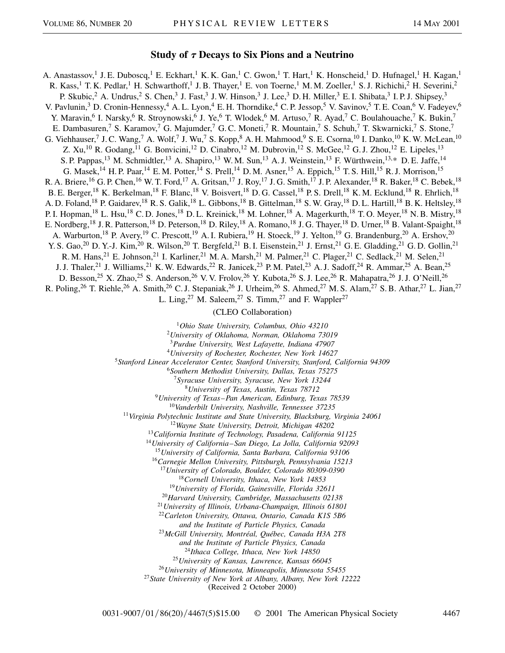## **Study of**  $\tau$  **Decays to Six Pions and a Neutrino**

A. Anastassov,<sup>1</sup> J. E. Duboscq,<sup>1</sup> E. Eckhart,<sup>1</sup> K. K. Gan,<sup>1</sup> C. Gwon,<sup>1</sup> T. Hart,<sup>1</sup> K. Honscheid,<sup>1</sup> D. Hufnagel,<sup>1</sup> H. Kagan,<sup>1</sup> R. Kass,<sup>1</sup> T. K. Pedlar,<sup>1</sup> H. Schwarthoff,<sup>1</sup> J. B. Thayer,<sup>1</sup> E. von Toerne,<sup>1</sup> M. M. Zoeller,<sup>1</sup> S. J. Richichi,<sup>2</sup> H. Severini,<sup>2</sup> P. Skubic,  $^2$  A. Undrus,  $^2$  S. Chen,  $^3$  J. Fast,  $^3$  J. W. Hinson,  $^3$  J. Lee,  $^3$  D. H. Miller,  $^3$  E. I. Shibata,  $^3$  I. P. J. Shipsey,  $^3$ V. Pavlunin,<sup>3</sup> D. Cronin-Hennessy,<sup>4</sup> A. L. Lyon,<sup>4</sup> E. H. Thorndike,<sup>4</sup> C. P. Jessop,<sup>5</sup> V. Savinov,<sup>5</sup> T. E. Coan,<sup>6</sup> V. Fadeyev,<sup>6</sup> Y. Maravin,<sup>6</sup> I. Narsky,<sup>6</sup> R. Stroynowski,<sup>6</sup> J. Ye,<sup>6</sup> T. Wlodek,<sup>6</sup> M. Artuso,<sup>7</sup> R. Ayad,<sup>7</sup> C. Boulahouache,<sup>7</sup> K. Bukin,<sup>7</sup> E. Dambasuren,<sup>7</sup> S. Karamov,<sup>7</sup> G. Majumder,<sup>7</sup> G. C. Moneti,<sup>7</sup> R. Mountain,<sup>7</sup> S. Schuh,<sup>7</sup> T. Skwarnicki,<sup>7</sup> S. Stone,<sup>7</sup> G. Viehhauser,<sup>7</sup> J. C. Wang,<sup>7</sup> A. Wolf,<sup>7</sup> J. Wu,<sup>7</sup> S. Kopp,<sup>8</sup> A. H. Mahmood,<sup>9</sup> S. E. Csorna,<sup>10</sup> I. Danko,<sup>10</sup> K. W. McLean,<sup>10</sup> Z. Xu,<sup>10</sup> R. Godang,<sup>11</sup> G. Bonvicini,<sup>12</sup> D. Cinabro,<sup>12</sup> M. Dubrovin,<sup>12</sup> S. McGee,<sup>12</sup> G. J. Zhou,<sup>12</sup> E. Lipeles,<sup>13</sup> S. P. Pappas,<sup>13</sup> M. Schmidtler,<sup>13</sup> A. Shapiro,<sup>13</sup> W. M. Sun,<sup>13</sup> A. J. Weinstein,<sup>13</sup> F. Würthwein,<sup>13,\*</sup> D. E. Jaffe,<sup>14</sup> G. Masek,<sup>14</sup> H. P. Paar,<sup>14</sup> E. M. Potter,<sup>14</sup> S. Prell,<sup>14</sup> D. M. Asner,<sup>15</sup> A. Eppich,<sup>15</sup> T. S. Hill,<sup>15</sup> R. J. Morrison,<sup>15</sup> R. A. Briere,<sup>16</sup> G. P. Chen,<sup>16</sup> W. T. Ford,<sup>17</sup> A. Gritsan,<sup>17</sup> J. Roy,<sup>17</sup> J. G. Smith,<sup>17</sup> J. P. Alexander,<sup>18</sup> R. Baker,<sup>18</sup> C. Bebek,<sup>18</sup> B. E. Berger,<sup>18</sup> K. Berkelman,<sup>18</sup> F. Blanc,<sup>18</sup> V. Boisvert,<sup>18</sup> D. G. Cassel,<sup>18</sup> P. S. Drell,<sup>18</sup> K. M. Ecklund,<sup>18</sup> R. Ehrlich,<sup>18</sup> A. D. Foland,<sup>18</sup> P. Gaidarev,<sup>18</sup> R. S. Galik,<sup>18</sup> L. Gibbons,<sup>18</sup> B. Gittelman,<sup>18</sup> S. W. Gray,<sup>18</sup> D. L. Hartill,<sup>18</sup> B. K. Heltsley,<sup>18</sup> P. I. Hopman,<sup>18</sup> L. Hsu,<sup>18</sup> C. D. Jones,<sup>18</sup> D. L. Kreinick,<sup>18</sup> M. Lohner,<sup>18</sup> A. Magerkurth,<sup>18</sup> T. O. Meyer,<sup>18</sup> N. B. Mistry,<sup>18</sup> E. Nordberg,<sup>18</sup> J. R. Patterson,<sup>18</sup> D. Peterson,<sup>18</sup> D. Riley,<sup>18</sup> A. Romano,<sup>18</sup> J. G. Thayer,<sup>18</sup> D. Urner,<sup>18</sup> B. Valant-Spaight,<sup>18</sup> A. Warburton,<sup>18</sup> P. Avery,<sup>19</sup> C. Prescott,<sup>19</sup> A. I. Rubiera,<sup>19</sup> H. Stoeck,<sup>19</sup> J. Yelton,<sup>19</sup> G. Brandenburg,<sup>20</sup> A. Ershov,<sup>20</sup> Y. S. Gao,<sup>20</sup> D. Y.-J. Kim,<sup>20</sup> R. Wilson,<sup>20</sup> T. Bergfeld,<sup>21</sup> B. I. Eisenstein,<sup>21</sup> J. Ernst,<sup>21</sup> G. E. Gladding,<sup>21</sup> G. D. Gollin,<sup>21</sup> R. M. Hans,<sup>21</sup> E. Johnson,<sup>21</sup> I. Karliner,<sup>21</sup> M. A. Marsh,<sup>21</sup> M. Palmer,<sup>21</sup> C. Plager,<sup>21</sup> C. Sedlack,<sup>21</sup> M. Selen,<sup>21</sup> J. J. Thaler,<sup>21</sup> J. Williams,<sup>21</sup> K. W. Edwards,<sup>22</sup> R. Janicek,<sup>23</sup> P. M. Patel,<sup>23</sup> A. J. Sadoff,<sup>24</sup> R. Ammar,<sup>25</sup> A. Bean,<sup>25</sup> D. Besson,<sup>25</sup> X. Zhao,<sup>25</sup> S. Anderson,<sup>26</sup> V. V. Frolov,<sup>26</sup> Y. Kubota,<sup>26</sup> S. J. Lee,<sup>26</sup> R. Mahapatra,<sup>26</sup> J. J. O'Neill,<sup>26</sup> R. Poling,<sup>26</sup> T. Riehle,<sup>26</sup> A. Smith,<sup>26</sup> C. J. Stepaniak,<sup>26</sup> J. Urheim,<sup>26</sup> S. Ahmed,<sup>27</sup> M. S. Alam,<sup>27</sup> S. B. Athar,<sup>27</sup> L. Jian,<sup>27</sup> L. Ling,<sup>27</sup> M. Saleem,<sup>27</sup> S. Timm,<sup>27</sup> and F. Wappler<sup>27</sup> (CLEO Collaboration)

<sup>1</sup>*Ohio State University, Columbus, Ohio 43210*

<sup>2</sup>*University of Oklahoma, Norman, Oklahoma 73019*

<sup>3</sup>*Purdue University, West Lafayette, Indiana 47907* <sup>4</sup>*University of Rochester, Rochester, New York 14627*

<sup>5</sup>*Stanford Linear Accelerator Center, Stanford University, Stanford, California 94309*

<sup>6</sup>*Southern Methodist University, Dallas, Texas 75275*

<sup>7</sup>*Syracuse University, Syracuse, New York 13244*

<sup>8</sup>*University of Texas, Austin, Texas 78712*

<sup>9</sup>*University of Texas–Pan American, Edinburg, Texas 78539*

<sup>10</sup>*Vanderbilt University, Nashville, Tennessee 37235*

<sup>11</sup>*Virginia Polytechnic Institute and State University, Blacksburg, Virginia 24061*

<sup>12</sup>*Wayne State University, Detroit, Michigan 48202*

<sup>13</sup>*California Institute of Technology, Pasadena, California 91125*

<sup>14</sup>*University of California–San Diego, La Jolla, California 92093*

<sup>15</sup>*University of California, Santa Barbara, California 93106*

<sup>16</sup>*Carnegie Mellon University, Pittsburgh, Pennsylvania 15213*

<sup>17</sup>*University of Colorado, Boulder, Colorado 80309-0390*

<sup>18</sup>*Cornell University, Ithaca, New York 14853*

<sup>19</sup>*University of Florida, Gainesville, Florida 32611*

<sup>20</sup>*Harvard University, Cambridge, Massachusetts 02138*

<sup>21</sup>*University of Illinois, Urbana-Champaign, Illinois 61801*

<sup>22</sup>*Carleton University, Ottawa, Ontario, Canada K1S 5B6*

*and the Institute of Particle Physics, Canada*

<sup>23</sup>*McGill University, Montréal, Québec, Canada H3A 2T8*

*and the Institute of Particle Physics, Canada*

<sup>24</sup>*Ithaca College, Ithaca, New York 14850* <sup>25</sup>*University of Kansas, Lawrence, Kansas 66045*

<sup>26</sup>*University of Minnesota, Minneapolis, Minnesota 55455*

<sup>27</sup>*State University of New York at Albany, Albany, New York 12222*

(Received 2 October 2000)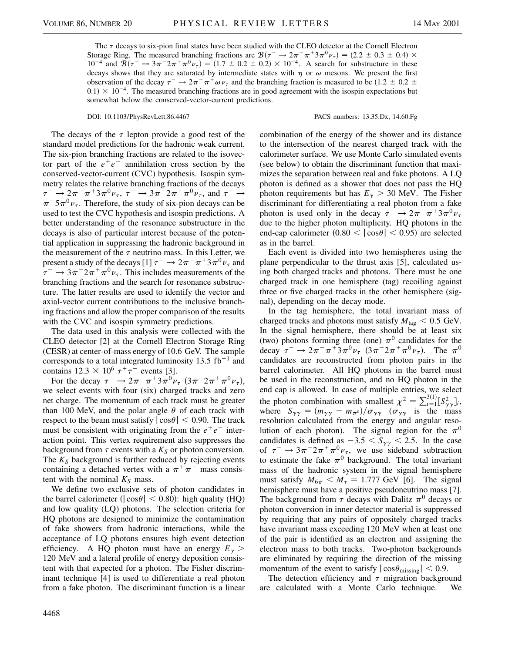The  $\tau$  decays to six-pion final states have been studied with the CLEO detector at the Cornell Electron Storage Ring. The measured branching fractions are  $\mathcal{B}(\tau^- \to 2\pi^-\pi^+ 3\pi^0 \nu_{\tau}) = (2.2 \pm 0.3 \pm 0.4) \times$  $10^{-4}$  and  $\mathcal{B}(\tau^- \to 3\pi^- 2\pi^+ \pi^0 \nu_\tau) = (1.7 \pm 0.2 \pm 0.2) \times 10^{-4}$ . A search for substructure in these decays shows that they are saturated by intermediate states with  $\eta$  or  $\omega$  mesons. We present the first observation of the decay  $\tau^- \to 2\pi^-\pi^+\omega \nu_\tau$  and the branching fraction is measured to be  $(1.2 \pm 0.2 \pm 0.2 \pm 0.2)$  $0.1$ )  $\times$  10<sup>-4</sup>. The measured branching fractions are in good agreement with the isospin expectations but somewhat below the conserved-vector-current predictions.

DOI: 10.1103/PhysRevLett.86.4467 PACS numbers: 13.35.Dx, 14.60.Fg

The decays of the  $\tau$  lepton provide a good test of the standard model predictions for the hadronic weak current. The six-pion branching fractions are related to the isovector part of the  $e^+e^-$  annihilation cross section by the conserved-vector-current (CVC) hypothesis. Isospin symmetry relates the relative branching fractions of the decays  $\tau^- \to 2\pi^-\pi^+3\pi^0\nu_\tau, \tau^- \to 3\pi^-2\pi^+\pi^0\nu_\tau,$  and  $\tau^- \to$  $\pi^{-5}\pi^{0}\nu_{\tau}$ . Therefore, the study of six-pion decays can be used to test the CVC hypothesis and isospin predictions. A better understanding of the resonance substructure in the decays is also of particular interest because of the potential application in suppressing the hadronic background in the measurement of the  $\tau$  neutrino mass. In this Letter, we present a study of the decays [1]  $\tau^- \rightarrow 2\pi^- \pi^+ 3\pi^0 \nu_{\tau}$  and  $\tau^- \rightarrow 3\pi^- 2\pi^+ \pi^0 \nu_{\tau}$ . This includes measurements of the branching fractions and the search for resonance substructure. The latter results are used to identify the vector and axial-vector current contributions to the inclusive branching fractions and allow the proper comparison of the results with the CVC and isospin symmetry predictions.

The data used in this analysis were collected with the CLEO detector [2] at the Cornell Electron Storage Ring (CESR) at center-of-mass energy of 10.6 GeV. The sample corresponds to a total integrated luminosity 13.5  $fb^{-1}$  and contains  $12.3 \times 10^6 \tau^+ \tau^-$  events [3].

For the decay  $\tau^- \to 2\pi^-\pi^+3\pi^0\nu_{\tau}$   $(3\pi^-2\pi^+\pi^0\nu_{\tau})$ , we select events with four (six) charged tracks and zero net charge. The momentum of each track must be greater than 100 MeV, and the polar angle  $\theta$  of each track with respect to the beam must satisfy  $|\cos\theta|$  < 0.90. The track must be consistent with originating from the  $e^+e^-$  interaction point. This vertex requirement also suppresses the background from  $\tau$  events with a  $K_S$  or photon conversion. The  $K<sub>S</sub>$  background is further reduced by rejecting events containing a detached vertex with a  $\pi^{+}\pi^{-}$  mass consistent with the nominal  $K<sub>S</sub>$  mass.

We define two exclusive sets of photon candidates in the barrel calorimeter ( $|\cos \theta|$  < 0.80): high quality (HQ) and low quality (LQ) photons. The selection criteria for HQ photons are designed to minimize the contamination of fake showers from hadronic interactions, while the acceptance of LQ photons ensures high event detection efficiency. A HQ photon must have an energy  $E<sub>y</sub>$  > 120 MeV and a lateral profile of energy deposition consistent with that expected for a photon. The Fisher discriminant technique [4] is used to differentiate a real photon from a fake photon. The discriminant function is a linear combination of the energy of the shower and its distance to the intersection of the nearest charged track with the calorimeter surface. We use Monte Carlo simulated events (see below) to obtain the discriminant function that maximizes the separation between real and fake photons. A LQ photon is defined as a shower that does not pass the HQ photon requirements but has  $E<sub>y</sub>$  > 30 MeV. The Fisher discriminant for differentiating a real photon from a fake photon is used only in the decay  $\tau^- \rightarrow 2\pi^- \pi^+ 3\pi^0 \nu_{\tau}$ due to the higher photon multiplicity. HQ photons in the end-cap calorimeter  $(0.80 < |cos\theta| < 0.95)$  are selected as in the barrel.

Each event is divided into two hemispheres using the plane perpendicular to the thrust axis [5], calculated using both charged tracks and photons. There must be one charged track in one hemisphere (tag) recoiling against three or five charged tracks in the other hemisphere (signal), depending on the decay mode.

In the tag hemisphere, the total invariant mass of charged tracks and photons must satisfy  $M_{\text{tag}} < 0.5 \text{ GeV}$ . In the signal hemisphere, there should be at least six (two) photons forming three (one)  $\pi^0$  candidates for the decay  $\tau^- \to 2\pi^- \pi^+ 3\pi^0 \nu_\tau$   $(3\pi^- 2\pi^+ \pi^0 \nu_\tau)$ . The  $\pi^0$ candidates are reconstructed from photon pairs in the barrel calorimeter. All HQ photons in the barrel must be used in the reconstruction, and no HQ photon in the end cap is allowed. In case of multiple entries, we select the photon combination with smallest  $\chi^2 = \sum_{i=1}^{3} [S_{\gamma\gamma}^2]_i$ , where  $S_{\gamma\gamma} = (m_{\gamma\gamma} - m_{\pi^0})/\sigma_{\gamma\gamma}$  ( $\sigma_{\gamma\gamma}$  is the mass resolution calculated from the energy and angular resolution of each photon). The signal region for the  $\pi^0$ candidates is defined as  $-3.5 < S_{\gamma\gamma} < 2.5$ . In the case of  $\tau^- \rightarrow 3\pi^- 2\pi^+ \pi^0 \nu_\tau$ , we use sideband subtraction to estimate the fake  $\pi^0$  background. The total invariant mass of the hadronic system in the signal hemisphere must satisfy  $M_{6\pi} < M_{\tau} = 1.777$  GeV [6]. The signal hemisphere must have a positive pseudoneutrino mass [7]. The background from  $\tau$  decays with Dalitz  $\pi^0$  decays or photon conversion in inner detector material is suppressed by requiring that any pairs of oppositely charged tracks have invariant mass exceeding 120 MeV when at least one of the pair is identified as an electron and assigning the electron mass to both tracks. Two-photon backgrounds are eliminated by requiring the direction of the missing momentum of the event to satisfy  $|\cos\theta_{\text{missing}}| < 0.9$ .

The detection efficiency and  $\tau$  migration background are calculated with a Monte Carlo technique. We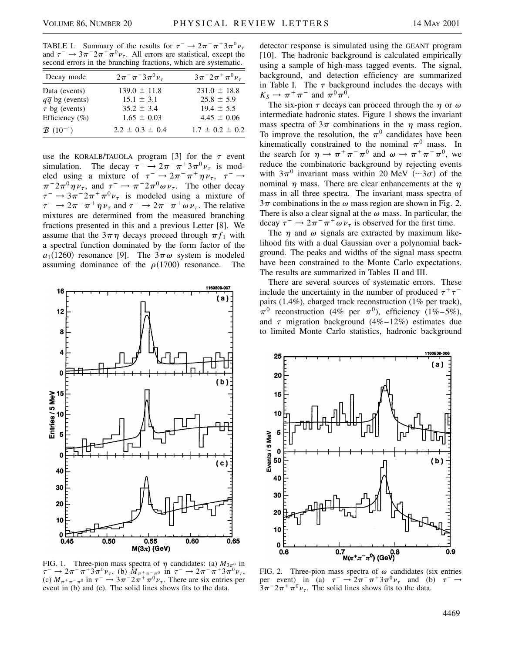TABLE I. Summary of the results for  $\tau^- \rightarrow 2\pi^-\pi^+3\pi^0\nu_{\tau}$ and  $\tau^- \rightarrow 3\pi^- 2\pi^+ \pi^0 \nu_\tau$ . All errors are statistical, except the second errors in the branching fractions, which are systematic.

| Decay mode                        | $2\pi^{-} \pi^{+} 3\pi^{0} \nu_{\tau}$ | $3\pi^{-}2\pi^{+}\pi^{0}\nu_{\tau}$ |
|-----------------------------------|----------------------------------------|-------------------------------------|
| Data (events)                     | $139.0 \pm 11.8$                       | $231.0 \pm 18.8$                    |
| $q\bar{q}$ bg (events)            | $15.1 \pm 3.1$                         | $25.8 \pm 5.9$                      |
| $\tau$ bg (events)                | $35.2 \pm 3.4$                         | $19.4 \pm 5.5$                      |
| Efficiency $(\% )$                | $1.65 \pm 0.03$                        | $4.45 \pm 0.06$                     |
| $\mathcal{B}$ (10 <sup>-4</sup> ) | $2.2 \pm 0.3 \pm 0.4$                  | $1.7 \pm 0.2 \pm 0.2$               |

use the KORALB/TAUOLA program [3] for the  $\tau$  event simulation. The decay  $\tau^- \to 2\pi^-\pi^+3\pi^0\nu_{\tau}$  is modeled using a mixture of  $\tau^- \to 2\pi^-\pi^+\eta\nu_{\tau}$ ,  $\tau^- \to$  $\pi^{-}2\pi^{0}\eta\nu_{\tau}$ , and  $\tau^{-} \to \pi^{-}2\pi^{0}\omega\nu_{\tau}$ . The other decay  $\tau^- \rightarrow 3\pi^2 2\pi^+ \pi^0 \nu_\tau$  is modeled using a mixture of  $\tau^- \to 2\pi^-\pi^+\eta \nu_\tau$  and  $\tau^- \to 2\pi^-\pi^+\omega \nu_\tau$ . The relative mixtures are determined from the measured branching fractions presented in this and a previous Letter [8]. We assume that the  $3\pi\eta$  decays proceed through  $\pi f_1$  with a spectral function dominated by the form factor of the  $a_1(1260)$  resonance [9]. The  $3\pi\omega$  system is modeled assuming dominance of the  $\rho(1700)$  resonance. The



FIG. 1. Three-pion mass spectra of  $\eta$  candidates: (a)  $M_{3\pi^0}$  in  $\tau^- \to 2\pi^- \pi^+ 3\pi^0 \nu_\tau$ , (b)  $\tilde{M}_{\pi^+ \pi^- \pi^0}$  in  $\tau^- \to 2\pi^- \pi^+ 3\pi^0 \nu_\tau$ , (c)  $M_{\pi^+\pi^-\pi^0}$  in  $\tau^- \to 3\pi^- 2\pi^+\pi^0\nu_{\tau}$ . There are six entries per event in (b) and (c). The solid lines shows fits to the data.

detector response is simulated using the GEANT program [10]. The hadronic background is calculated empirically using a sample of high-mass tagged events. The signal, background, and detection efficiency are summarized in Table I. The  $\tau$  background includes the decays with  $K_S \rightarrow \pi^+ \pi^-$  and  $\pi^0 \pi^0$ .

The six-pion  $\tau$  decays can proceed through the  $\eta$  or  $\omega$ intermediate hadronic states. Figure 1 shows the invariant mass spectra of  $3\pi$  combinations in the  $\eta$  mass region. To improve the resolution, the  $\pi^0$  candidates have been kinematically constrained to the nominal  $\pi^0$  mass. In the search for  $\eta \to \pi^+ \pi^- \pi^0$  and  $\omega \to \pi^+ \pi^- \pi^0$ , we reduce the combinatoric background by rejecting events with  $3\pi^0$  invariant mass within 20 MeV  $(\sim 3\sigma)$  of the nominal  $\eta$  mass. There are clear enhancements at the  $\eta$ mass in all three spectra. The invariant mass spectra of  $3\pi$  combinations in the  $\omega$  mass region are shown in Fig. 2. There is also a clear signal at the  $\omega$  mass. In particular, the decay  $\tau^- \rightarrow 2\pi^- \pi^+ \omega \nu_{\tau}$  is observed for the first time.

The  $\eta$  and  $\omega$  signals are extracted by maximum likelihood fits with a dual Gaussian over a polynomial background. The peaks and widths of the signal mass spectra have been constrained to the Monte Carlo expectations. The results are summarized in Tables II and III.

There are several sources of systematic errors. These include the uncertainty in the number of produced  $\tau^+\tau^$ pairs (1.4%), charged track reconstruction (1% per track),  $\pi^0$  reconstruction (4% per  $\pi^0$ ), efficiency (1%–5%), and  $\tau$  migration background (4%–12%) estimates due to limited Monte Carlo statistics, hadronic background



FIG. 2. Three-pion mass spectra of  $\omega$  candidates (six entries per event) in (a)  $\tau^- \rightarrow 2\pi^- \pi^+ 3\pi^0 \nu_\tau$  and (b)  $\tau$  $3\pi^{-2}\pi^{+}\pi^{0}\nu_{\tau}$ . The solid lines shows fits to the data.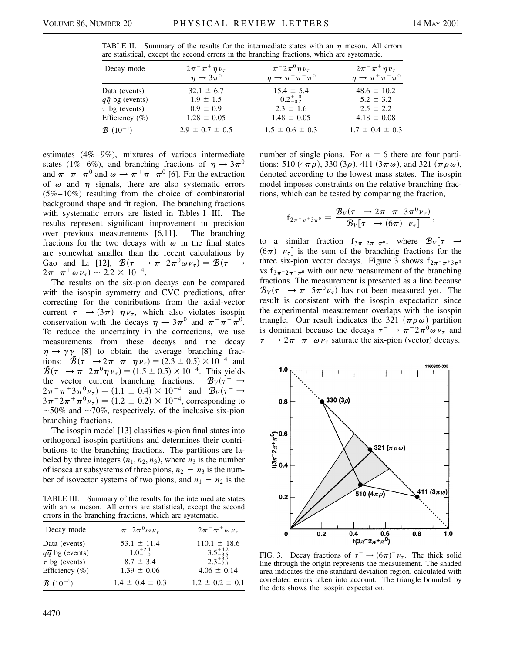| Decay mode             | $2\pi^{-} \pi^{+} \eta \nu_{\tau}$ | $\pi^{-}2\pi^{0}\eta\nu_{\tau}$      | $2\pi^{-} \pi^{+} \eta \nu_{\tau}$   |
|------------------------|------------------------------------|--------------------------------------|--------------------------------------|
|                        | $\eta \rightarrow 3\pi^0$          | $\eta \rightarrow \pi^+ \pi^- \pi^0$ | $\eta \rightarrow \pi^+ \pi^- \pi^0$ |
| Data (events)          | $32.1 \pm 6.7$                     | $15.4 \pm 5.4$                       | $48.6 \pm 10.2$                      |
| $q\bar{q}$ bg (events) | $1.9 \pm 1.5$                      | $0.2^{+1.0}_{-0.2}$                  | $5.2 \pm 3.2$                        |
| $\tau$ bg (events)     | $0.9 \pm 0.9$                      | $2.3 \pm 1.6$                        | $2.5 \pm 2.2$                        |
| Efficiency (%)         | $1.28 \pm 0.05$                    | $1.48 \pm 0.05$                      | $4.18 \pm 0.08$                      |
| $B(10^{-4})$           | $2.9 \pm 0.7 \pm 0.5$              | $1.5 \pm 0.6 \pm 0.3$                | $1.7 \pm 0.4 \pm 0.3$                |

TABLE II. Summary of the results for the intermediate states with an  $\eta$  meson. All errors are statistical, except the second errors in the branching fractions, which are systematic.

estimates (4%–9%), mixtures of various intermediate states (1%–6%), and branching fractions of  $\eta \rightarrow 3\pi^{0}$ and  $\pi^+ \pi^- \pi^0$  and  $\omega \to \pi^+ \pi^- \pi^0$  [6]. For the extraction of  $\omega$  and  $\eta$  signals, there are also systematic errors (5%–10%) resulting from the choice of combinatorial background shape and fit region. The branching fractions with systematic errors are listed in Tables I–III. The results represent significant improvement in precision over previous measurements [6,11]. The branching fractions for the two decays with  $\omega$  in the final states are somewhat smaller than the recent calculations by Gao and Li [12],  $\mathcal{B}(\tau^- \to \pi^- 2\pi^0 \omega \nu_\tau) = \mathcal{B}(\tau^- \to$  $2\pi^{-} \pi^{+} \omega \nu_{\tau}$   $\sim 2.2 \times 10^{-4}$ .

The results on the six-pion decays can be compared with the isospin symmetry and CVC predictions, after correcting for the contributions from the axial-vector current  $\tau^- \to (3\pi)^- \eta \nu_\tau$ , which also violates isospin conservation with the decays  $\eta \rightarrow 3\pi^0$  and  $\pi^+\pi^-\pi^0$ . To reduce the uncertainty in the corrections, we use measurements from these decays and the decay  $\eta \rightarrow \gamma \gamma$  [8] to obtain the average branching fractions:  $\mathcal{B}(\tau^{-} \to 2\pi^{-}\pi^{+}\eta \nu_{\tau}) = (2.3 \pm 0.5) \times 10^{-4}$  and  $\bar{B}(\tau^- \to \pi^- 2\pi^0 \eta \nu_\tau) = (1.5 \pm 0.5) \times 10^{-4}$ . This yields the vector current branching fractions:  $\mathcal{B}_V(\tau^- \to$  $2\pi^{-}\pi^{+}3\pi^{0}\nu_{\tau}$  = (1.1  $\pm$  0.4) × 10<sup>-4</sup> and  $\mathcal{B}_{V}(\tau^{-} \rightarrow$  $3\pi^{-}2\pi^{+}\pi^{0}\nu_{\tau}$  =  $(1.2 \pm 0.2) \times 10^{-4}$ , corresponding to  $\sim$ 50% and  $\sim$ 70%, respectively, of the inclusive six-pion branching fractions.

The isospin model [13] classifies *n*-pion final states into orthogonal isospin partitions and determines their contributions to the branching fractions. The partitions are labeled by three integers  $(n_1, n_2, n_3)$ , where  $n_3$  is the number of isoscalar subsystems of three pions,  $n_2 - n_3$  is the number of isovector systems of two pions, and  $n_1 - n_2$  is the

TABLE III. Summary of the results for the intermediate states with an  $\omega$  meson. All errors are statistical, except the second errors in the branching fractions, which are systematic.

| Decay mode                        | $\pi^{-}2\pi^{0}\omega\nu_{\tau}$ | $2\pi^{-}\pi^{+}\omega\nu_{\tau}$ |
|-----------------------------------|-----------------------------------|-----------------------------------|
| Data (events)                     | $53.1 \pm 11.4$                   | $110.1 \pm 18.6$                  |
| $q\overline{q}$ bg (events)       | $1.0^{+2.4}_{-1.0}$               | $3.5^{+4.2}_{-3.5}$               |
| $\tau$ bg (events)                | $8.7 \pm 3.4$                     | $2.3_{-2.3}^{+3.7}$               |
| Efficiency $(\%)$                 | $1.39 \pm 0.06$                   | $4.06 \pm 0.14$                   |
| $\mathcal{B}$ (10 <sup>-4</sup> ) | $1.4 \pm 0.4 \pm 0.3$             | $1.2 \pm 0.2 \pm 0.1$             |

number of single pions. For  $n = 6$  there are four partitions: 510  $(4\pi\rho)$ , 330  $(3\rho)$ , 411  $(3\pi\omega)$ , and 321  $(\pi\rho\omega)$ , denoted according to the lowest mass states. The isospin model imposes constraints on the relative branching fractions, which can be tested by comparing the fraction,

$$
f_{2\pi^-\pi^+3\pi^0} = \frac{\mathcal{B}_V(\tau^- \to 2\pi^-\pi^+3\pi^0\nu_\tau)}{\mathcal{B}_V[\tau^- \to (6\pi)^-\nu_\tau]},
$$

to a similar fraction  $f_{3\pi^{-}2\pi^{+}\pi^{0}}$ , where  $\mathcal{B}_{V}[\tau^{-} \rightarrow$  $(6\pi)^{-} \nu_{\tau}$  is the sum of the branching fractions for the three six-pion vector decays. Figure 3 shows  $f_{2\pi^-\pi^+3\pi^0}$ vs f<sub>3 $\pi$ </sub>- $2\pi$ <sup>+</sup> $\pi$ <sup>0</sup> with our new measurement of the branching fractions. The measurement is presented as a line because  $\mathcal{B}_V(\tau^- \to \pi^- 5 \pi^0 \nu_\tau)$  has not been measured yet. The result is consistent with the isospin expectation since the experimental measurement overlaps with the isospin triangle. Our result indicates the 321  $(\pi \rho \omega)$  partition is dominant because the decays  $\tau^- \to \pi^- 2\pi^0 \omega \nu_\tau$  and  $\tau^- \rightarrow 2\pi^- \pi^+ \omega \nu_\tau$  saturate the six-pion (vector) decays.



FIG. 3. Decay fractions of  $\tau^- \to (6\pi)^- \nu_{\tau}$ . The thick solid line through the origin represents the measurement. The shaded area indicates the one standard deviation region, calculated with correlated errors taken into account. The triangle bounded by the dots shows the isospin expectation.